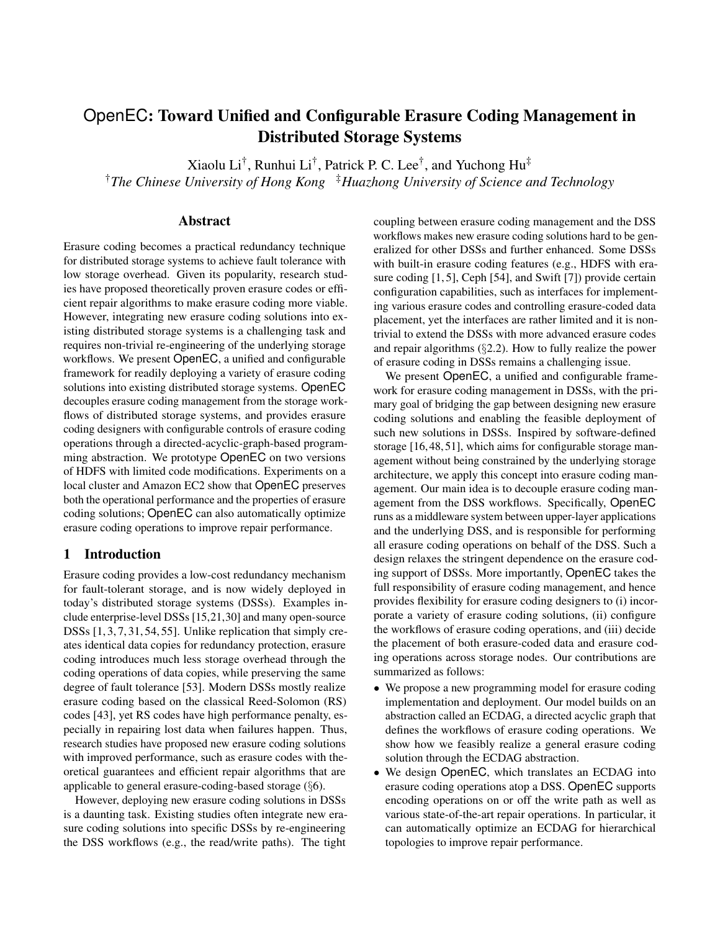# OpenEC: Toward Unified and Configurable Erasure Coding Management in Distributed Storage Systems

Xiaolu Li† , Runhui Li† , Patrick P. C. Lee† , and Yuchong Hu‡

<sup>†</sup>The Chinese University of Hong Kong <sup>†</sup>*Huazhong University of Science and Technology* 

# Abstract

Erasure coding becomes a practical redundancy technique for distributed storage systems to achieve fault tolerance with low storage overhead. Given its popularity, research studies have proposed theoretically proven erasure codes or efficient repair algorithms to make erasure coding more viable. However, integrating new erasure coding solutions into existing distributed storage systems is a challenging task and requires non-trivial re-engineering of the underlying storage workflows. We present OpenEC, a unified and configurable framework for readily deploying a variety of erasure coding solutions into existing distributed storage systems. OpenEC decouples erasure coding management from the storage workflows of distributed storage systems, and provides erasure coding designers with configurable controls of erasure coding operations through a directed-acyclic-graph-based programming abstraction. We prototype OpenEC on two versions of HDFS with limited code modifications. Experiments on a local cluster and Amazon EC2 show that OpenEC preserves both the operational performance and the properties of erasure coding solutions; OpenEC can also automatically optimize erasure coding operations to improve repair performance.

# 1 Introduction

Erasure coding provides a low-cost redundancy mechanism for fault-tolerant storage, and is now widely deployed in today's distributed storage systems (DSSs). Examples include enterprise-level DSSs [\[15,](#page-12-0)[21,](#page-12-1)[30\]](#page-12-2) and many open-source DSSs [\[1,](#page-12-3) [3,](#page-12-4) [7,](#page-12-5) [31,](#page-12-6) [54,](#page-13-0) [55\]](#page-13-1). Unlike replication that simply creates identical data copies for redundancy protection, erasure coding introduces much less storage overhead through the coding operations of data copies, while preserving the same degree of fault tolerance [\[53\]](#page-13-2). Modern DSSs mostly realize erasure coding based on the classical Reed-Solomon (RS) codes [\[43\]](#page-13-3), yet RS codes have high performance penalty, especially in repairing lost data when failures happen. Thus, research studies have proposed new erasure coding solutions with improved performance, such as erasure codes with theoretical guarantees and efficient repair algorithms that are applicable to general erasure-coding-based storage (§[6\)](#page-11-0).

However, deploying new erasure coding solutions in DSSs is a daunting task. Existing studies often integrate new erasure coding solutions into specific DSSs by re-engineering the DSS workflows (e.g., the read/write paths). The tight

coupling between erasure coding management and the DSS workflows makes new erasure coding solutions hard to be generalized for other DSSs and further enhanced. Some DSSs with built-in erasure coding features (e.g., HDFS with era-sure coding [\[1,](#page-12-3)5], Ceph [\[54\]](#page-13-0), and Swift [\[7\]](#page-12-5)) provide certain configuration capabilities, such as interfaces for implementing various erasure codes and controlling erasure-coded data placement, yet the interfaces are rather limited and it is nontrivial to extend the DSSs with more advanced erasure codes and repair algorithms (§[2.2\)](#page-1-0). How to fully realize the power of erasure coding in DSSs remains a challenging issue.

We present OpenEC, a unified and configurable framework for erasure coding management in DSSs, with the primary goal of bridging the gap between designing new erasure coding solutions and enabling the feasible deployment of such new solutions in DSSs. Inspired by software-defined storage [\[16,](#page-12-8) [48,](#page-13-4) [51\]](#page-13-5), which aims for configurable storage management without being constrained by the underlying storage architecture, we apply this concept into erasure coding management. Our main idea is to decouple erasure coding management from the DSS workflows. Specifically, OpenEC runs as a middleware system between upper-layer applications and the underlying DSS, and is responsible for performing all erasure coding operations on behalf of the DSS. Such a design relaxes the stringent dependence on the erasure coding support of DSSs. More importantly, OpenEC takes the full responsibility of erasure coding management, and hence provides flexibility for erasure coding designers to (i) incorporate a variety of erasure coding solutions, (ii) configure the workflows of erasure coding operations, and (iii) decide the placement of both erasure-coded data and erasure coding operations across storage nodes. Our contributions are summarized as follows:

- We propose a new programming model for erasure coding implementation and deployment. Our model builds on an abstraction called an ECDAG, a directed acyclic graph that defines the workflows of erasure coding operations. We show how we feasibly realize a general erasure coding solution through the ECDAG abstraction.
- We design OpenEC, which translates an ECDAG into erasure coding operations atop a DSS. OpenEC supports encoding operations on or off the write path as well as various state-of-the-art repair operations. In particular, it can automatically optimize an ECDAG for hierarchical topologies to improve repair performance.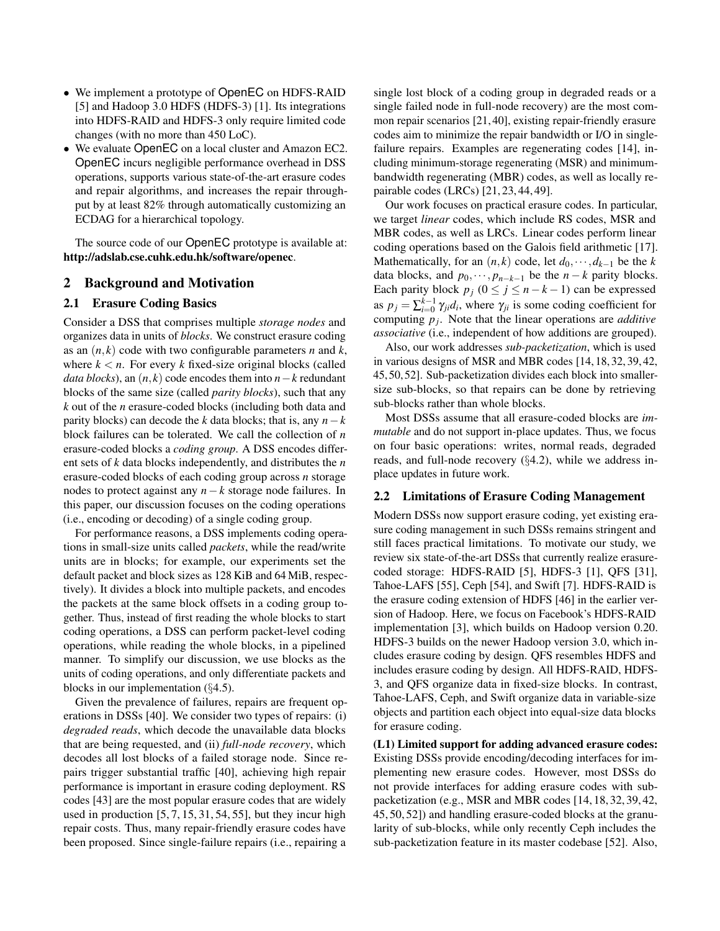- We implement a prototype of OpenEC on HDFS-RAID [\[5\]](#page-12-7) and Hadoop 3.0 HDFS (HDFS-3) [\[1\]](#page-12-3). Its integrations into HDFS-RAID and HDFS-3 only require limited code changes (with no more than 450 LoC).
- We evaluate OpenEC on a local cluster and Amazon EC2. OpenEC incurs negligible performance overhead in DSS operations, supports various state-of-the-art erasure codes and repair algorithms, and increases the repair throughput by at least 82% through automatically customizing an ECDAG for a hierarchical topology.

The source code of our OpenEC prototype is available at: <http://adslab.cse.cuhk.edu.hk/software/openec>.

#### 2 Background and Motivation

#### <span id="page-1-1"></span>2.1 Erasure Coding Basics

Consider a DSS that comprises multiple *storage nodes* and organizes data in units of *blocks*. We construct erasure coding as an  $(n, k)$  code with two configurable parameters *n* and *k*, where  $k < n$ . For every k fixed-size original blocks (called *data blocks*), an  $(n, k)$  code encodes them into  $n - k$  redundant blocks of the same size (called *parity blocks*), such that any *k* out of the *n* erasure-coded blocks (including both data and parity blocks) can decode the *k* data blocks; that is, any  $n-k$ block failures can be tolerated. We call the collection of *n* erasure-coded blocks a *coding group*. A DSS encodes different sets of *k* data blocks independently, and distributes the *n* erasure-coded blocks of each coding group across *n* storage nodes to protect against any *n*−*k* storage node failures. In this paper, our discussion focuses on the coding operations (i.e., encoding or decoding) of a single coding group.

For performance reasons, a DSS implements coding operations in small-size units called *packets*, while the read/write units are in blocks; for example, our experiments set the default packet and block sizes as 128 KiB and 64 MiB, respectively). It divides a block into multiple packets, and encodes the packets at the same block offsets in a coding group together. Thus, instead of first reading the whole blocks to start coding operations, a DSS can perform packet-level coding operations, while reading the whole blocks, in a pipelined manner. To simplify our discussion, we use blocks as the units of coding operations, and only differentiate packets and blocks in our implementation (§[4.5\)](#page-7-0).

Given the prevalence of failures, repairs are frequent operations in DSSs [\[40\]](#page-13-6). We consider two types of repairs: (i) *degraded reads*, which decode the unavailable data blocks that are being requested, and (ii) *full-node recovery*, which decodes all lost blocks of a failed storage node. Since repairs trigger substantial traffic [\[40\]](#page-13-6), achieving high repair performance is important in erasure coding deployment. RS codes [\[43\]](#page-13-3) are the most popular erasure codes that are widely used in production [\[5,](#page-12-7) [7,](#page-12-5) [15,](#page-12-0) [31,](#page-12-6) [54,](#page-13-0) [55\]](#page-13-1), but they incur high repair costs. Thus, many repair-friendly erasure codes have been proposed. Since single-failure repairs (i.e., repairing a

single lost block of a coding group in degraded reads or a single failed node in full-node recovery) are the most common repair scenarios [\[21,](#page-12-1) [40\]](#page-13-6), existing repair-friendly erasure codes aim to minimize the repair bandwidth or I/O in singlefailure repairs. Examples are regenerating codes [\[14\]](#page-12-9), including minimum-storage regenerating (MSR) and minimumbandwidth regenerating (MBR) codes, as well as locally repairable codes (LRCs) [\[21,](#page-12-1) [23,](#page-12-10) [44,](#page-13-7) [49\]](#page-13-8).

Our work focuses on practical erasure codes. In particular, we target *linear* codes, which include RS codes, MSR and MBR codes, as well as LRCs. Linear codes perform linear coding operations based on the Galois field arithmetic [\[17\]](#page-12-11). Mathematically, for an  $(n, k)$  code, let  $d_0, \dots, d_{k-1}$  be the *k* data blocks, and  $p_0, \dots, p_{n-k-1}$  be the  $n-k$  parity blocks. Each parity block  $p_j$  ( $0 \le j \le n - k - 1$ ) can be expressed as  $p_j = \sum_{i=0}^{k-1} \gamma_{ji} d_i$ , where  $\gamma_{ji}$  is some coding coefficient for computing *p<sup>j</sup>* . Note that the linear operations are *additive associative* (i.e., independent of how additions are grouped).

Also, our work addresses *sub-packetization*, which is used in various designs of MSR and MBR codes [\[14,](#page-12-9) [18,](#page-12-12) [32,](#page-13-9) [39,](#page-13-10) [42,](#page-13-11) [45,](#page-13-12) [50,](#page-13-13) [52\]](#page-13-14). Sub-packetization divides each block into smallersize sub-blocks, so that repairs can be done by retrieving sub-blocks rather than whole blocks.

Most DSSs assume that all erasure-coded blocks are *immutable* and do not support in-place updates. Thus, we focus on four basic operations: writes, normal reads, degraded reads, and full-node recovery (§[4.2\)](#page-5-0), while we address inplace updates in future work.

## <span id="page-1-0"></span>2.2 Limitations of Erasure Coding Management

Modern DSSs now support erasure coding, yet existing erasure coding management in such DSSs remains stringent and still faces practical limitations. To motivate our study, we review six state-of-the-art DSSs that currently realize erasurecoded storage: HDFS-RAID [\[5\]](#page-12-7), HDFS-3 [\[1\]](#page-12-3), QFS [\[31\]](#page-12-6), Tahoe-LAFS [\[55\]](#page-13-1), Ceph [\[54\]](#page-13-0), and Swift [\[7\]](#page-12-5). HDFS-RAID is the erasure coding extension of HDFS [\[46\]](#page-13-15) in the earlier version of Hadoop. Here, we focus on Facebook's HDFS-RAID implementation [\[3\]](#page-12-4), which builds on Hadoop version 0.20. HDFS-3 builds on the newer Hadoop version 3.0, which includes erasure coding by design. QFS resembles HDFS and includes erasure coding by design. All HDFS-RAID, HDFS-3, and QFS organize data in fixed-size blocks. In contrast, Tahoe-LAFS, Ceph, and Swift organize data in variable-size objects and partition each object into equal-size data blocks for erasure coding.

(L1) Limited support for adding advanced erasure codes: Existing DSSs provide encoding/decoding interfaces for implementing new erasure codes. However, most DSSs do not provide interfaces for adding erasure codes with subpacketization (e.g., MSR and MBR codes [\[14,](#page-12-9) [18,](#page-12-12) [32,](#page-13-9) [39,](#page-13-10) [42,](#page-13-11) [45,](#page-13-12) [50,](#page-13-13) [52\]](#page-13-14)) and handling erasure-coded blocks at the granularity of sub-blocks, while only recently Ceph includes the sub-packetization feature in its master codebase [\[52\]](#page-13-14). Also,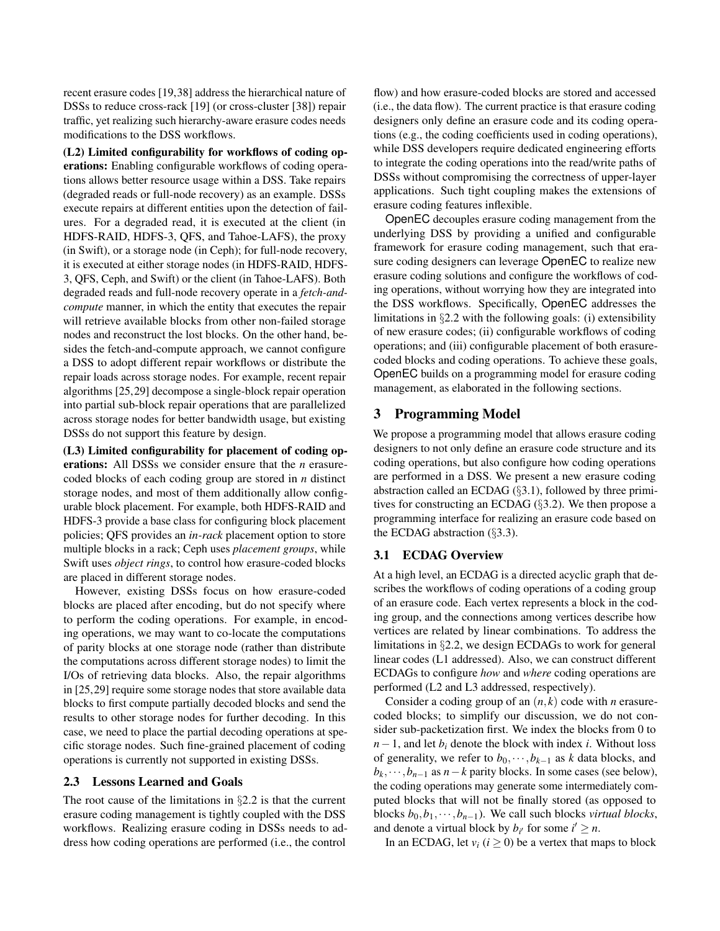recent erasure codes [\[19,](#page-12-13)[38\]](#page-13-16) address the hierarchical nature of DSSs to reduce cross-rack [\[19\]](#page-12-13) (or cross-cluster [\[38\]](#page-13-16)) repair traffic, yet realizing such hierarchy-aware erasure codes needs modifications to the DSS workflows.

(L2) Limited configurability for workflows of coding operations: Enabling configurable workflows of coding operations allows better resource usage within a DSS. Take repairs (degraded reads or full-node recovery) as an example. DSSs execute repairs at different entities upon the detection of failures. For a degraded read, it is executed at the client (in HDFS-RAID, HDFS-3, QFS, and Tahoe-LAFS), the proxy (in Swift), or a storage node (in Ceph); for full-node recovery, it is executed at either storage nodes (in HDFS-RAID, HDFS-3, QFS, Ceph, and Swift) or the client (in Tahoe-LAFS). Both degraded reads and full-node recovery operate in a *fetch-andcompute* manner, in which the entity that executes the repair will retrieve available blocks from other non-failed storage nodes and reconstruct the lost blocks. On the other hand, besides the fetch-and-compute approach, we cannot configure a DSS to adopt different repair workflows or distribute the repair loads across storage nodes. For example, recent repair algorithms [\[25,](#page-12-14)[29\]](#page-12-15) decompose a single-block repair operation into partial sub-block repair operations that are parallelized across storage nodes for better bandwidth usage, but existing DSSs do not support this feature by design.

(L3) Limited configurability for placement of coding operations: All DSSs we consider ensure that the *n* erasurecoded blocks of each coding group are stored in *n* distinct storage nodes, and most of them additionally allow configurable block placement. For example, both HDFS-RAID and HDFS-3 provide a base class for configuring block placement policies; QFS provides an *in-rack* placement option to store multiple blocks in a rack; Ceph uses *placement groups*, while Swift uses *object rings*, to control how erasure-coded blocks are placed in different storage nodes.

However, existing DSSs focus on how erasure-coded blocks are placed after encoding, but do not specify where to perform the coding operations. For example, in encoding operations, we may want to co-locate the computations of parity blocks at one storage node (rather than distribute the computations across different storage nodes) to limit the I/Os of retrieving data blocks. Also, the repair algorithms in [\[25,](#page-12-14)[29\]](#page-12-15) require some storage nodes that store available data blocks to first compute partially decoded blocks and send the results to other storage nodes for further decoding. In this case, we need to place the partial decoding operations at specific storage nodes. Such fine-grained placement of coding operations is currently not supported in existing DSSs.

#### 2.3 Lessons Learned and Goals

The root cause of the limitations in  $\S 2.2$  $\S 2.2$  is that the current erasure coding management is tightly coupled with the DSS workflows. Realizing erasure coding in DSSs needs to address how coding operations are performed (i.e., the control

flow) and how erasure-coded blocks are stored and accessed (i.e., the data flow). The current practice is that erasure coding designers only define an erasure code and its coding operations (e.g., the coding coefficients used in coding operations), while DSS developers require dedicated engineering efforts to integrate the coding operations into the read/write paths of DSSs without compromising the correctness of upper-layer applications. Such tight coupling makes the extensions of erasure coding features inflexible.

OpenEC decouples erasure coding management from the underlying DSS by providing a unified and configurable framework for erasure coding management, such that erasure coding designers can leverage OpenEC to realize new erasure coding solutions and configure the workflows of coding operations, without worrying how they are integrated into the DSS workflows. Specifically, OpenEC addresses the limitations in §[2.2](#page-1-0) with the following goals: (i) extensibility of new erasure codes; (ii) configurable workflows of coding operations; and (iii) configurable placement of both erasurecoded blocks and coding operations. To achieve these goals, OpenEC builds on a programming model for erasure coding management, as elaborated in the following sections.

## 3 Programming Model

We propose a programming model that allows erasure coding designers to not only define an erasure code structure and its coding operations, but also configure how coding operations are performed in a DSS. We present a new erasure coding abstraction called an ECDAG (§[3.1\)](#page-2-0), followed by three primitives for constructing an ECDAG (§[3.2\)](#page-3-0). We then propose a programming interface for realizing an erasure code based on the ECDAG abstraction (§[3.3\)](#page-4-0).

## <span id="page-2-0"></span>3.1 ECDAG Overview

At a high level, an ECDAG is a directed acyclic graph that describes the workflows of coding operations of a coding group of an erasure code. Each vertex represents a block in the coding group, and the connections among vertices describe how vertices are related by linear combinations. To address the limitations in §[2.2,](#page-1-0) we design ECDAGs to work for general linear codes (L1 addressed). Also, we can construct different ECDAGs to configure *how* and *where* coding operations are performed (L2 and L3 addressed, respectively).

Consider a coding group of an (*n*, *k*) code with *n* erasurecoded blocks; to simplify our discussion, we do not consider sub-packetization first. We index the blocks from 0 to  $n-1$ , and let  $b_i$  denote the block with index *i*. Without loss of generality, we refer to  $b_0, \dots, b_{k-1}$  as *k* data blocks, and  $b_k, \dots, b_{n-1}$  as  $n-k$  parity blocks. In some cases (see below), the coding operations may generate some intermediately computed blocks that will not be finally stored (as opposed to blocks  $b_0, b_1, \dots, b_{n-1}$ ). We call such blocks *virtual blocks*, and denote a virtual block by  $b_i$  for some  $i' \geq n$ .

In an ECDAG, let  $v_i$  ( $i \ge 0$ ) be a vertex that maps to block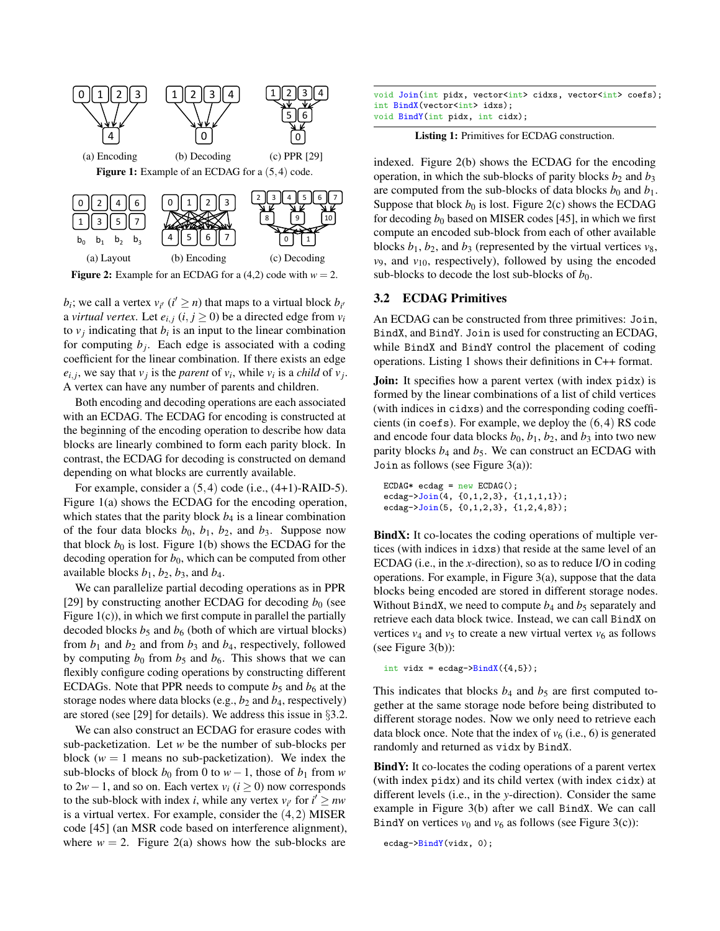<span id="page-3-1"></span>

<span id="page-3-2"></span>**Figure 2:** Example for an ECDAG for a  $(4,2)$  code with  $w = 2$ .

 $b_i$ ; we call a vertex  $v_{i'}$  ( $i' \geq n$ ) that maps to a virtual block  $b_{i'}$ a *virtual vertex*. Let  $e_{i,j}$   $(i, j \ge 0)$  be a directed edge from  $v_i$ to  $v_j$  indicating that  $b_i$  is an input to the linear combination for computing  $b_j$ . Each edge is associated with a coding coefficient for the linear combination. If there exists an edge  $e_{i,j}$ , we say that  $v_j$  is the *parent* of  $v_i$ , while  $v_i$  is a *child* of  $v_j$ . A vertex can have any number of parents and children.

Both encoding and decoding operations are each associated with an ECDAG. The ECDAG for encoding is constructed at the beginning of the encoding operation to describe how data blocks are linearly combined to form each parity block. In contrast, the ECDAG for decoding is constructed on demand depending on what blocks are currently available.

For example, consider a  $(5,4)$  code (i.e.,  $(4+1)$ -RAID-5). Figure [1\(](#page-3-1)a) shows the ECDAG for the encoding operation, which states that the parity block  $b_4$  is a linear combination of the four data blocks  $b_0$ ,  $b_1$ ,  $b_2$ , and  $b_3$ . Suppose now that block  $b_0$  is lost. Figure [1\(](#page-3-1)b) shows the ECDAG for the decoding operation for  $b_0$ , which can be computed from other available blocks  $b_1$ ,  $b_2$ ,  $b_3$ , and  $b_4$ .

We can parallelize partial decoding operations as in PPR [\[29\]](#page-12-15) by constructing another ECDAG for decoding  $b_0$  (see Figure  $1(c)$ ), in which we first compute in parallel the partially decoded blocks  $b_5$  and  $b_6$  (both of which are virtual blocks) from  $b_1$  and  $b_2$  and from  $b_3$  and  $b_4$ , respectively, followed by computing  $b_0$  from  $b_5$  and  $b_6$ . This shows that we can flexibly configure coding operations by constructing different ECDAGs. Note that PPR needs to compute  $b_5$  and  $b_6$  at the storage nodes where data blocks (e.g.,  $b_2$  and  $b_4$ , respectively) are stored (see [\[29\]](#page-12-15) for details). We address this issue in §[3.2.](#page-3-0)

We can also construct an ECDAG for erasure codes with sub-packetization. Let *w* be the number of sub-blocks per block  $(w = 1$  means no sub-packetization). We index the sub-blocks of block  $b_0$  from 0 to  $w-1$ , those of  $b_1$  from  $w$ to  $2*w*−1$ , and so on. Each vertex  $v_i$  ( $i \ge 0$ ) now corresponds to the sub-block with index *i*, while any vertex  $v_{i'}$  for  $i' \geq nw$ is a virtual vertex. For example, consider the (4,2) MISER code [\[45\]](#page-13-12) (an MSR code based on interference alignment), where  $w = 2$ . Figure [2\(](#page-3-2)a) shows how the sub-blocks are

<span id="page-3-3"></span>

|                                     |                                 | void Join(int pidx, vector <int> cidxs, vector<int> coefs);</int></int> |  |
|-------------------------------------|---------------------------------|-------------------------------------------------------------------------|--|
| int BindX(vector <int> idxs):</int> |                                 |                                                                         |  |
|                                     | void BindY(int pidx, int cidx); |                                                                         |  |

Listing 1: Primitives for ECDAG construction.

indexed. Figure [2\(](#page-3-2)b) shows the ECDAG for the encoding operation, in which the sub-blocks of parity blocks  $b_2$  and  $b_3$ are computed from the sub-blocks of data blocks  $b_0$  and  $b_1$ . Suppose that block  $b_0$  is lost. Figure [2\(](#page-3-2)c) shows the ECDAG for decoding  $b_0$  based on MISER codes [\[45\]](#page-13-12), in which we first compute an encoded sub-block from each of other available blocks  $b_1$ ,  $b_2$ , and  $b_3$  (represented by the virtual vertices  $v_8$ ,  $v_9$ , and  $v_{10}$ , respectively), followed by using the encoded sub-blocks to decode the lost sub-blocks of  $b_0$ .

## <span id="page-3-0"></span>3.2 ECDAG Primitives

An ECDAG can be constructed from three primitives: Join, BindX, and BindY. Join is used for constructing an ECDAG, while BindX and BindY control the placement of coding operations. Listing [1](#page-3-3) shows their definitions in C++ format.

**Join:** It specifies how a parent vertex (with index pidx) is formed by the linear combinations of a list of child vertices (with indices in cidxs) and the corresponding coding coefficients (in coefs). For example, we deploy the (6,4) RS code and encode four data blocks  $b_0$ ,  $b_1$ ,  $b_2$ , and  $b_3$  into two new parity blocks  $b_4$  and  $b_5$ . We can construct an ECDAG with Join as follows (see Figure [3\(](#page-4-1)a)):

```
ECDAG* ecdag = new ECDAG();
ecdag->Join(4, {0,1,2,3}, {1,1,1,1});
ecdag->Join(5, {0,1,2,3}, {1,2,4,8});
```
BindX: It co-locates the coding operations of multiple vertices (with indices in idxs) that reside at the same level of an ECDAG (i.e., in the *x*-direction), so as to reduce I/O in coding operations. For example, in Figure [3\(](#page-4-1)a), suppose that the data blocks being encoded are stored in different storage nodes. Without BindX, we need to compute  $b_4$  and  $b_5$  separately and retrieve each data block twice. Instead, we can call BindX on vertices  $v_4$  and  $v_5$  to create a new virtual vertex  $v_6$  as follows (see Figure  $3(b)$ ):

```
int vidx = ecdag->BindX({4,5});
```
This indicates that blocks  $b_4$  and  $b_5$  are first computed together at the same storage node before being distributed to different storage nodes. Now we only need to retrieve each data block once. Note that the index of  $v_6$  (i.e., 6) is generated randomly and returned as vidx by BindX.

BindY: It co-locates the coding operations of a parent vertex (with index pidx) and its child vertex (with index cidx) at different levels (i.e., in the *y*-direction). Consider the same example in Figure [3\(](#page-4-1)b) after we call BindX. We can call BindY on vertices  $v_0$  and  $v_6$  as follows (see Figure [3\(](#page-4-1)c)):

```
ecdag->BindY(vidx, 0);
```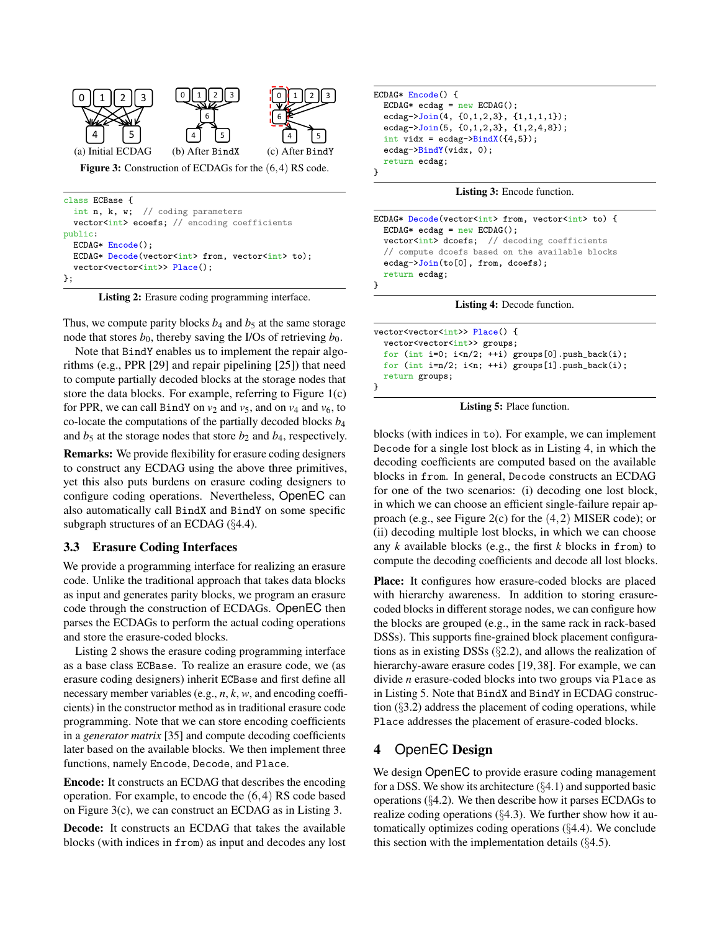<span id="page-4-1"></span>

```
class ECBase {
  int n, k, w; // coding parameters
  vector<int> ecoefs; // encoding coefficients
public:
  ECDAG* Encode();
 ECDAG* Decode(vector<int> from, vector<int> to);
  vector<vector<int>>Place();
};
```
Listing 2: Erasure coding programming interface.

Thus, we compute parity blocks  $b_4$  and  $b_5$  at the same storage node that stores  $b_0$ , thereby saving the I/Os of retrieving  $b_0$ .

Note that BindY enables us to implement the repair algorithms (e.g., PPR [\[29\]](#page-12-15) and repair pipelining [\[25\]](#page-12-14)) that need to compute partially decoded blocks at the storage nodes that store the data blocks. For example, referring to Figure [1\(](#page-3-1)c) for PPR, we can call BindY on  $v_2$  and  $v_5$ , and on  $v_4$  and  $v_6$ , to co-locate the computations of the partially decoded blocks *b*<sup>4</sup> and  $b_5$  at the storage nodes that store  $b_2$  and  $b_4$ , respectively.

Remarks: We provide flexibility for erasure coding designers to construct any ECDAG using the above three primitives, yet this also puts burdens on erasure coding designers to configure coding operations. Nevertheless, OpenEC can also automatically call BindX and BindY on some specific subgraph structures of an ECDAG (§[4.4\)](#page-6-0).

#### <span id="page-4-0"></span>3.3 Erasure Coding Interfaces

We provide a programming interface for realizing an erasure code. Unlike the traditional approach that takes data blocks as input and generates parity blocks, we program an erasure code through the construction of ECDAGs. OpenEC then parses the ECDAGs to perform the actual coding operations and store the erasure-coded blocks.

Listing [2](#page-4-2) shows the erasure coding programming interface as a base class ECBase. To realize an erasure code, we (as erasure coding designers) inherit ECBase and first define all necessary member variables (e.g., *n*, *k*, *w*, and encoding coefficients) in the constructor method as in traditional erasure code programming. Note that we can store encoding coefficients in a *generator matrix* [\[35\]](#page-13-17) and compute decoding coefficients later based on the available blocks. We then implement three functions, namely Encode, Decode, and Place.

Encode: It constructs an ECDAG that describes the encoding operation. For example, to encode the (6,4) RS code based on Figure [3\(](#page-4-1)c), we can construct an ECDAG as in Listing [3.](#page-4-3)

Decode: It constructs an ECDAG that takes the available blocks (with indices in from) as input and decodes any lost

```
ECDAG* Encode() {
  ECDAG* ecdag = new ECDAG();
  ecdag->Join(4, {0,1,2,3}, {1,1,1,1});
  ecdag->Join(5, {0,1,2,3}, {1,2,4,8});
  int vidx = ecdag\text{-}\frac{\text{BindX}(\{4,5\})}{\text{min}};
  ecdag->BindY(vidx, 0);
  return ecdag;
}
```
Listing 3: Encode function.

```
ECDAG* Decode(vector<int> from, vector<int> to) {
  ECDAG* ecdag = new ECDAG();
  vector<int> dcoefs; // decoding coefficients
  // compute dcoefs based on the available blocks
  ecdag->Join(to[0], from, dcoefs);
  return ecdag;
}
                Listing 4: Decode function.
```

```
vector<vector<int>>Place() {
  vector<vector<int>> groups;
  for (int i=0; i <n/2; ++i) groups[0].push_back(i);
  for (int i=n/2; i \leq n; ++i) groups[1].push_back(i);
  return groups;
}
```
Listing 5: Place function.

blocks (with indices in to). For example, we can implement Decode for a single lost block as in Listing [4,](#page-4-4) in which the decoding coefficients are computed based on the available blocks in from. In general, Decode constructs an ECDAG for one of the two scenarios: (i) decoding one lost block, in which we can choose an efficient single-failure repair approach (e.g., see Figure [2\(](#page-3-2)c) for the (4,2) MISER code); or (ii) decoding multiple lost blocks, in which we can choose any *k* available blocks (e.g., the first *k* blocks in from) to compute the decoding coefficients and decode all lost blocks.

Place: It configures how erasure-coded blocks are placed with hierarchy awareness. In addition to storing erasurecoded blocks in different storage nodes, we can configure how the blocks are grouped (e.g., in the same rack in rack-based DSSs). This supports fine-grained block placement configurations as in existing DSSs (§[2.2\)](#page-1-0), and allows the realization of hierarchy-aware erasure codes [\[19,](#page-12-13) [38\]](#page-13-16). For example, we can divide *n* erasure-coded blocks into two groups via Place as in Listing [5.](#page-4-5) Note that BindX and BindY in ECDAG construction (§[3.2\)](#page-3-0) address the placement of coding operations, while Place addresses the placement of erasure-coded blocks.

# 4 OpenEC Design

We design OpenEC to provide erasure coding management for a DSS. We show its architecture  $(\S 4.1)$  $(\S 4.1)$  and supported basic operations (§[4.2\)](#page-5-0). We then describe how it parses ECDAGs to realize coding operations (§[4.3\)](#page-5-2). We further show how it automatically optimizes coding operations (§[4.4\)](#page-6-0). We conclude this section with the implementation details  $(\S 4.5)$  $(\S 4.5)$ .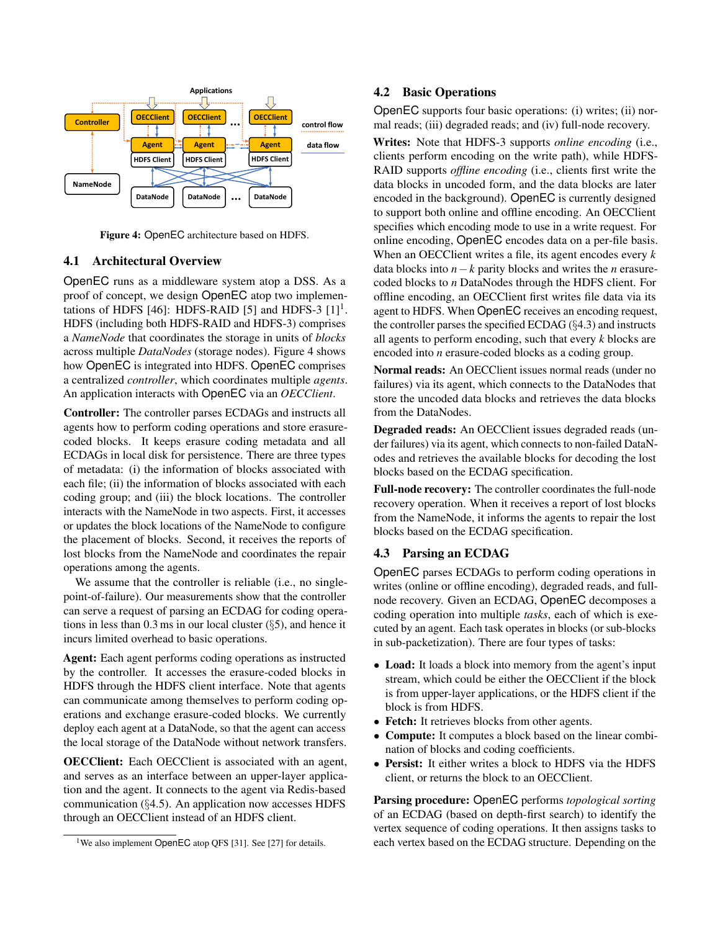<span id="page-5-4"></span>

Figure 4: OpenEC architecture based on HDFS.

### <span id="page-5-1"></span>4.1 Architectural Overview

OpenEC runs as a middleware system atop a DSS. As a proof of concept, we design OpenEC atop two implemen-tations of HDFS [\[46\]](#page-13-15): HDFS-RAID [\[5\]](#page-12-7) and HDFS-3  $[1]$ <sup>[1](#page-5-3)</sup>. HDFS (including both HDFS-RAID and HDFS-3) comprises a *NameNode* that coordinates the storage in units of *blocks* across multiple *DataNodes* (storage nodes). Figure [4](#page-5-4) shows how OpenEC is integrated into HDFS. OpenEC comprises a centralized *controller*, which coordinates multiple *agents*. An application interacts with OpenEC via an *OECClient*.

Controller: The controller parses ECDAGs and instructs all agents how to perform coding operations and store erasurecoded blocks. It keeps erasure coding metadata and all ECDAGs in local disk for persistence. There are three types of metadata: (i) the information of blocks associated with each file; (ii) the information of blocks associated with each coding group; and (iii) the block locations. The controller interacts with the NameNode in two aspects. First, it accesses or updates the block locations of the NameNode to configure the placement of blocks. Second, it receives the reports of lost blocks from the NameNode and coordinates the repair operations among the agents.

We assume that the controller is reliable (i.e., no singlepoint-of-failure). Our measurements show that the controller can serve a request of parsing an ECDAG for coding operations in less than 0.3 ms in our local cluster (§[5\)](#page-7-1), and hence it incurs limited overhead to basic operations.

Agent: Each agent performs coding operations as instructed by the controller. It accesses the erasure-coded blocks in HDFS through the HDFS client interface. Note that agents can communicate among themselves to perform coding operations and exchange erasure-coded blocks. We currently deploy each agent at a DataNode, so that the agent can access the local storage of the DataNode without network transfers.

OECClient: Each OECClient is associated with an agent, and serves as an interface between an upper-layer application and the agent. It connects to the agent via Redis-based communication (§[4.5\)](#page-7-0). An application now accesses HDFS through an OECClient instead of an HDFS client.

## <span id="page-5-0"></span>4.2 Basic Operations

OpenEC supports four basic operations: (i) writes; (ii) normal reads; (iii) degraded reads; and (iv) full-node recovery.

Writes: Note that HDFS-3 supports *online encoding* (i.e., clients perform encoding on the write path), while HDFS-RAID supports *offline encoding* (i.e., clients first write the data blocks in uncoded form, and the data blocks are later encoded in the background). OpenEC is currently designed to support both online and offline encoding. An OECClient specifies which encoding mode to use in a write request. For online encoding, OpenEC encodes data on a per-file basis. When an OECClient writes a file, its agent encodes every *k* data blocks into *n*−*k* parity blocks and writes the *n* erasurecoded blocks to *n* DataNodes through the HDFS client. For offline encoding, an OECClient first writes file data via its agent to HDFS. When OpenEC receives an encoding request, the controller parses the specified ECDAG (§[4.3\)](#page-5-2) and instructs all agents to perform encoding, such that every *k* blocks are encoded into *n* erasure-coded blocks as a coding group.

Normal reads: An OECClient issues normal reads (under no failures) via its agent, which connects to the DataNodes that store the uncoded data blocks and retrieves the data blocks from the DataNodes.

Degraded reads: An OECClient issues degraded reads (under failures) via its agent, which connects to non-failed DataNodes and retrieves the available blocks for decoding the lost blocks based on the ECDAG specification.

Full-node recovery: The controller coordinates the full-node recovery operation. When it receives a report of lost blocks from the NameNode, it informs the agents to repair the lost blocks based on the ECDAG specification.

#### <span id="page-5-2"></span>4.3 Parsing an ECDAG

OpenEC parses ECDAGs to perform coding operations in writes (online or offline encoding), degraded reads, and fullnode recovery. Given an ECDAG, OpenEC decomposes a coding operation into multiple *tasks*, each of which is executed by an agent. Each task operates in blocks (or sub-blocks in sub-packetization). There are four types of tasks:

- Load: It loads a block into memory from the agent's input stream, which could be either the OECClient if the block is from upper-layer applications, or the HDFS client if the block is from HDFS.
- Fetch: It retrieves blocks from other agents.
- Compute: It computes a block based on the linear combination of blocks and coding coefficients.
- Persist: It either writes a block to HDFS via the HDFS client, or returns the block to an OECClient.

Parsing procedure: OpenEC performs *topological sorting* of an ECDAG (based on depth-first search) to identify the vertex sequence of coding operations. It then assigns tasks to each vertex based on the ECDAG structure. Depending on the

<span id="page-5-3"></span><sup>&</sup>lt;sup>1</sup>We also implement OpenEC atop QFS [\[31\]](#page-12-6). See [\[27\]](#page-12-16) for details.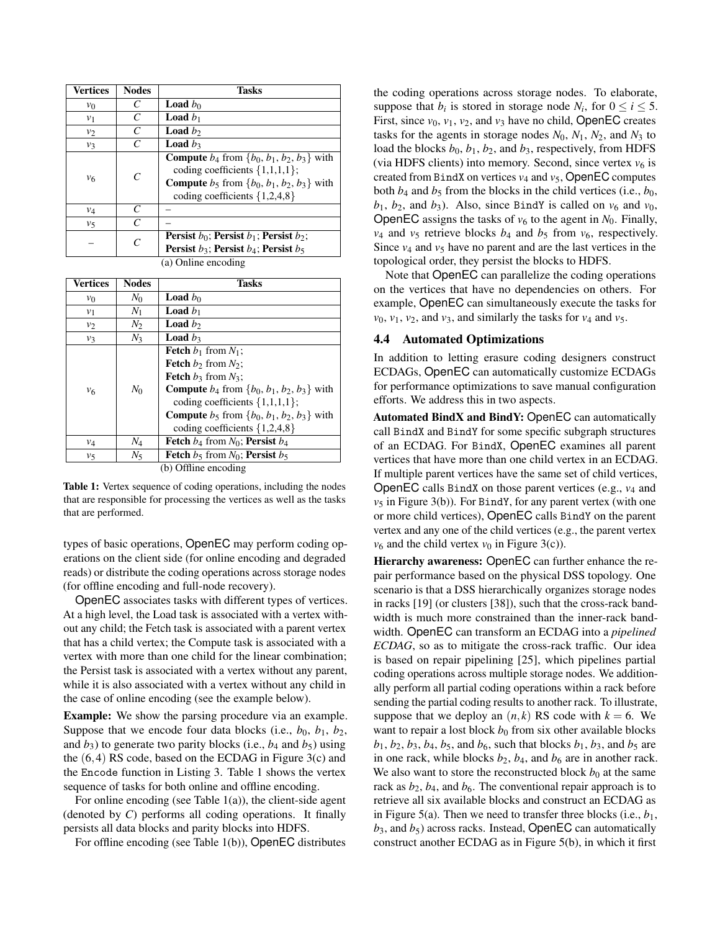<span id="page-6-1"></span>

| Vertices            | <b>Nodes</b> | <b>Tasks</b>                                                                                                                                                                                  |  |  |
|---------------------|--------------|-----------------------------------------------------------------------------------------------------------------------------------------------------------------------------------------------|--|--|
| $v_0$               | C            | <b>Load</b> $b_0$                                                                                                                                                                             |  |  |
| v <sub>1</sub>      | C            | <b>Load</b> $b_1$                                                                                                                                                                             |  |  |
| v <sub>2</sub>      | C            | <b>Load</b> $b_2$                                                                                                                                                                             |  |  |
| $v_3$               | C            | <b>Load</b> $b_3$                                                                                                                                                                             |  |  |
| $v_6$               | C            | <b>Compute</b> $b_4$ from $\{b_0, b_1, b_2, b_3\}$ with<br>coding coefficients $\{1,1,1,1\};$<br><b>Compute</b> $b_5$ from $\{b_0, b_1, b_2, b_3\}$ with<br>coding coefficients $\{1,2,4,8\}$ |  |  |
| $v_4$               | C            |                                                                                                                                                                                               |  |  |
| $v_{5}$             | C            |                                                                                                                                                                                               |  |  |
|                     | C            | <b>Persist</b> $b_0$ ; <b>Persist</b> $b_1$ ; <b>Persist</b> $b_2$ ;<br><b>Persist</b> $b_3$ : Persist $b_4$ : Persist $b_5$                                                                  |  |  |
| (a) Online encoding |              |                                                                                                                                                                                               |  |  |

| Vertices       | <b>Nodes</b> | <b>Tasks</b>                                            |
|----------------|--------------|---------------------------------------------------------|
| $v_0$          | $N_0$        | <b>Load</b> $b_0$                                       |
| $v_1$          | $N_1$        | <b>Load</b> $b_1$                                       |
| $v_2$          | $N_2$        | <b>Load</b> $b_2$                                       |
| $v_3$          | $N_3$        | <b>Load</b> $b_3$                                       |
|                |              | <b>Fetch</b> $b_1$ from $N_1$ ;                         |
|                |              | <b>Fetch</b> $b_2$ from $N_2$ ;                         |
|                |              | <b>Fetch</b> $b_3$ from $N_3$ ;                         |
| v <sub>6</sub> | $N_0$        | <b>Compute</b> $b_4$ from $\{b_0, b_1, b_2, b_3\}$ with |
|                |              | coding coefficients $\{1,1,1,1\}$ ;                     |
|                |              | <b>Compute</b> $b_5$ from $\{b_0, b_1, b_2, b_3\}$ with |
|                |              | coding coefficients $\{1,2,4,8\}$                       |
| $v_4$          | $N_4$        | <b>Fetch</b> $b_4$ from $N_0$ ; <b>Persist</b> $b_4$    |
| $v_5$          | $N_{5}$      | <b>Fetch</b> $b_5$ from $N_0$ ; <b>Persist</b> $b_5$    |
|                |              | $(h)$ Offling appealing                                 |

(b) Offline encoding

Table 1: Vertex sequence of coding operations, including the nodes that are responsible for processing the vertices as well as the tasks that are performed.

types of basic operations, OpenEC may perform coding operations on the client side (for online encoding and degraded reads) or distribute the coding operations across storage nodes (for offline encoding and full-node recovery).

OpenEC associates tasks with different types of vertices. At a high level, the Load task is associated with a vertex without any child; the Fetch task is associated with a parent vertex that has a child vertex; the Compute task is associated with a vertex with more than one child for the linear combination; the Persist task is associated with a vertex without any parent, while it is also associated with a vertex without any child in the case of online encoding (see the example below).

Example: We show the parsing procedure via an example. Suppose that we encode four data blocks (i.e.,  $b_0$ ,  $b_1$ ,  $b_2$ , and  $b_3$ ) to generate two parity blocks (i.e.,  $b_4$  and  $b_5$ ) using the (6,4) RS code, based on the ECDAG in Figure [3\(](#page-4-1)c) and the Encode function in Listing [3.](#page-4-3) Table [1](#page-6-1) shows the vertex sequence of tasks for both online and offline encoding.

For online encoding (see Table  $1(a)$ ), the client-side agent (denoted by *C*) performs all coding operations. It finally persists all data blocks and parity blocks into HDFS.

For offline encoding (see Table [1\(](#page-6-1)b)), OpenEC distributes

the coding operations across storage nodes. To elaborate, suppose that  $b_i$  is stored in storage node  $N_i$ , for  $0 \le i \le 5$ . First, since  $v_0$ ,  $v_1$ ,  $v_2$ , and  $v_3$  have no child, OpenEC creates tasks for the agents in storage nodes  $N_0$ ,  $N_1$ ,  $N_2$ , and  $N_3$  to load the blocks  $b_0$ ,  $b_1$ ,  $b_2$ , and  $b_3$ , respectively, from HDFS (via HDFS clients) into memory. Second, since vertex  $v_6$  is created from BindX on vertices  $v_4$  and  $v_5$ , OpenEC computes both  $b_4$  and  $b_5$  from the blocks in the child vertices (i.e.,  $b_0$ ,  $b_1$ ,  $b_2$ , and  $b_3$ ). Also, since BindY is called on  $v_6$  and  $v_0$ , OpenEC assigns the tasks of  $v_6$  to the agent in  $N_0$ . Finally,  $v_4$  and  $v_5$  retrieve blocks  $b_4$  and  $b_5$  from  $v_6$ , respectively. Since  $v_4$  and  $v_5$  have no parent and are the last vertices in the topological order, they persist the blocks to HDFS.

Note that OpenEC can parallelize the coding operations on the vertices that have no dependencies on others. For example, OpenEC can simultaneously execute the tasks for  $v_0$ ,  $v_1$ ,  $v_2$ , and  $v_3$ , and similarly the tasks for  $v_4$  and  $v_5$ .

## <span id="page-6-0"></span>4.4 Automated Optimizations

In addition to letting erasure coding designers construct ECDAGs, OpenEC can automatically customize ECDAGs for performance optimizations to save manual configuration efforts. We address this in two aspects.

Automated BindX and BindY: OpenEC can automatically call BindX and BindY for some specific subgraph structures of an ECDAG. For BindX, OpenEC examines all parent vertices that have more than one child vertex in an ECDAG. If multiple parent vertices have the same set of child vertices, OpenEC calls BindX on those parent vertices (e.g., *v*<sup>4</sup> and  $v<sub>5</sub>$  in Figure [3\(](#page-4-1)b)). For BindY, for any parent vertex (with one or more child vertices), OpenEC calls BindY on the parent vertex and any one of the child vertices (e.g., the parent vertex  $v_6$  and the child vertex  $v_0$  in Figure [3\(](#page-4-1)c)).

Hierarchy awareness: OpenEC can further enhance the repair performance based on the physical DSS topology. One scenario is that a DSS hierarchically organizes storage nodes in racks [\[19\]](#page-12-13) (or clusters [\[38\]](#page-13-16)), such that the cross-rack bandwidth is much more constrained than the inner-rack bandwidth. OpenEC can transform an ECDAG into a *pipelined ECDAG*, so as to mitigate the cross-rack traffic. Our idea is based on repair pipelining [\[25\]](#page-12-14), which pipelines partial coding operations across multiple storage nodes. We additionally perform all partial coding operations within a rack before sending the partial coding results to another rack. To illustrate, suppose that we deploy an  $(n, k)$  RS code with  $k = 6$ . We want to repair a lost block  $b_0$  from six other available blocks  $b_1, b_2, b_3, b_4, b_5$ , and  $b_6$ , such that blocks  $b_1, b_3$ , and  $b_5$  are in one rack, while blocks  $b_2$ ,  $b_4$ , and  $b_6$  are in another rack. We also want to store the reconstructed block  $b_0$  at the same rack as  $b_2$ ,  $b_4$ , and  $b_6$ . The conventional repair approach is to retrieve all six available blocks and construct an ECDAG as in Figure [5\(](#page-7-2)a). Then we need to transfer three blocks (i.e.,  $b_1$ ,  $b_3$ , and  $b_5$ ) across racks. Instead, OpenEC can automatically construct another ECDAG as in Figure [5\(](#page-7-2)b), in which it first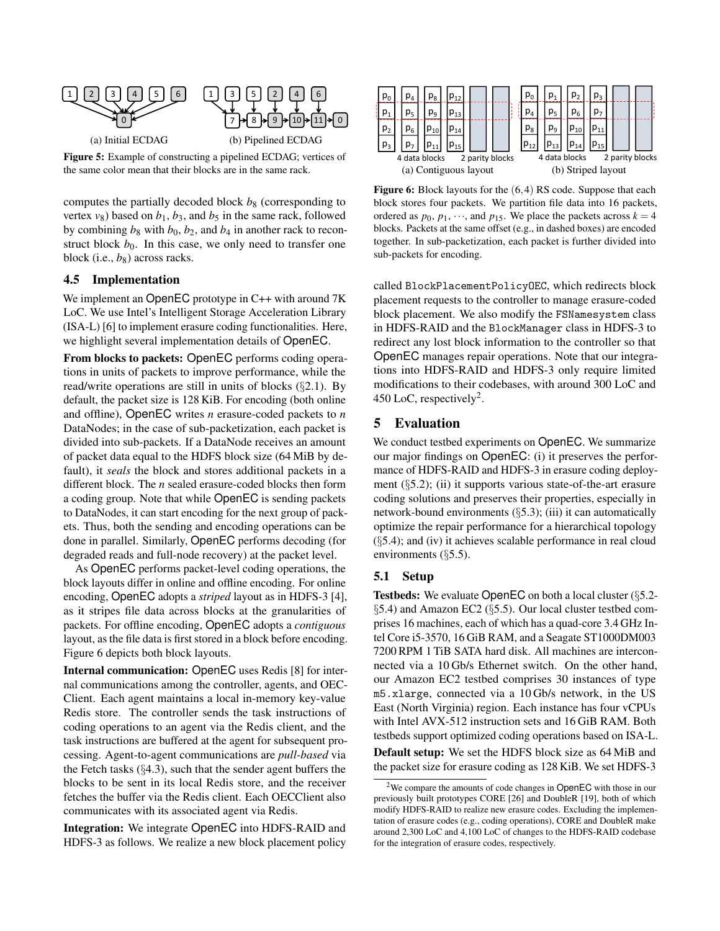<span id="page-7-2"></span>

the same color mean that their blocks are in the same rack.

computes the partially decoded block  $b_8$  (corresponding to vertex  $v_8$ ) based on  $b_1$ ,  $b_3$ , and  $b_5$  in the same rack, followed by combining  $b_8$  with  $b_0$ ,  $b_2$ , and  $b_4$  in another rack to reconstruct block  $b_0$ . In this case, we only need to transfer one block (i.e.,  $b_8$ ) across racks.

#### <span id="page-7-0"></span>4.5 Implementation

We implement an OpenEC prototype in C++ with around 7K LoC. We use Intel's Intelligent Storage Acceleration Library (ISA-L) [\[6\]](#page-12-17) to implement erasure coding functionalities. Here, we highlight several implementation details of OpenEC.

From blocks to packets: OpenEC performs coding operations in units of packets to improve performance, while the read/write operations are still in units of blocks (§[2.1\)](#page-1-1). By default, the packet size is 128 KiB. For encoding (both online and offline), OpenEC writes *n* erasure-coded packets to *n* DataNodes; in the case of sub-packetization, each packet is divided into sub-packets. If a DataNode receives an amount of packet data equal to the HDFS block size (64 MiB by default), it *seals* the block and stores additional packets in a different block. The *n* sealed erasure-coded blocks then form a coding group. Note that while OpenEC is sending packets to DataNodes, it can start encoding for the next group of packets. Thus, both the sending and encoding operations can be done in parallel. Similarly, OpenEC performs decoding (for degraded reads and full-node recovery) at the packet level.

As OpenEC performs packet-level coding operations, the block layouts differ in online and offline encoding. For online encoding, OpenEC adopts a *striped* layout as in HDFS-3 [\[4\]](#page-12-18), as it stripes file data across blocks at the granularities of packets. For offline encoding, OpenEC adopts a *contiguous* layout, as the file data is first stored in a block before encoding. Figure [6](#page-7-3) depicts both block layouts.

Internal communication: OpenEC uses Redis [\[8\]](#page-12-19) for internal communications among the controller, agents, and OEC-Client. Each agent maintains a local in-memory key-value Redis store. The controller sends the task instructions of coding operations to an agent via the Redis client, and the task instructions are buffered at the agent for subsequent processing. Agent-to-agent communications are *pull-based* via the Fetch tasks  $(\S4.3)$  $(\S4.3)$ , such that the sender agent buffers the blocks to be sent in its local Redis store, and the receiver fetches the buffer via the Redis client. Each OECClient also communicates with its associated agent via Redis.

Integration: We integrate OpenEC into HDFS-RAID and HDFS-3 as follows. We realize a new block placement policy

<span id="page-7-3"></span>

Figure 6: Block layouts for the  $(6,4)$  RS code. Suppose that each block stores four packets. We partition file data into 16 packets, ordered as  $p_0$ ,  $p_1$ ,  $\cdots$ , and  $p_{15}$ . We place the packets across  $k = 4$ blocks. Packets at the same offset (e.g., in dashed boxes) are encoded together. In sub-packetization, each packet is further divided into sub-packets for encoding.

called BlockPlacementPolicyOEC, which redirects block placement requests to the controller to manage erasure-coded block placement. We also modify the FSNamesystem class in HDFS-RAID and the BlockManager class in HDFS-3 to redirect any lost block information to the controller so that OpenEC manages repair operations. Note that our integrations into HDFS-RAID and HDFS-3 only require limited modifications to their codebases, with around 300 LoC and 450 LoC, respectively<sup>[2](#page-7-4)</sup>.

# <span id="page-7-1"></span>5 Evaluation

We conduct testbed experiments on OpenEC. We summarize our major findings on OpenEC: (i) it preserves the performance of HDFS-RAID and HDFS-3 in erasure coding deployment  $(\S$ [5.2\)](#page-8-0); (ii) it supports various state-of-the-art erasure coding solutions and preserves their properties, especially in network-bound environments (§[5.3\)](#page-9-0); (iii) it can automatically optimize the repair performance for a hierarchical topology (§[5.4\)](#page-10-0); and (iv) it achieves scalable performance in real cloud environments (§[5.5\)](#page-10-1).

#### <span id="page-7-5"></span>5.1 Setup

Testbeds: We evaluate OpenEC on both a local cluster (§[5.2-](#page-8-0) §[5.4\)](#page-10-0) and Amazon EC2 (§[5.5\)](#page-10-1). Our local cluster testbed comprises 16 machines, each of which has a quad-core 3.4 GHz Intel Core i5-3570, 16 GiB RAM, and a Seagate ST1000DM003 7200 RPM 1 TiB SATA hard disk. All machines are interconnected via a 10 Gb/s Ethernet switch. On the other hand, our Amazon EC2 testbed comprises 30 instances of type m5.xlarge, connected via a 10 Gb/s network, in the US East (North Virginia) region. Each instance has four vCPUs with Intel AVX-512 instruction sets and 16 GiB RAM. Both testbeds support optimized coding operations based on ISA-L. Default setup: We set the HDFS block size as 64 MiB and the packet size for erasure coding as 128 KiB. We set HDFS-3

<span id="page-7-4"></span><sup>2</sup>We compare the amounts of code changes in OpenEC with those in our previously built prototypes CORE [\[26\]](#page-12-20) and DoubleR [\[19\]](#page-12-13), both of which modify HDFS-RAID to realize new erasure codes. Excluding the implementation of erasure codes (e.g., coding operations), CORE and DoubleR make around 2,300 LoC and 4,100 LoC of changes to the HDFS-RAID codebase for the integration of erasure codes, respectively.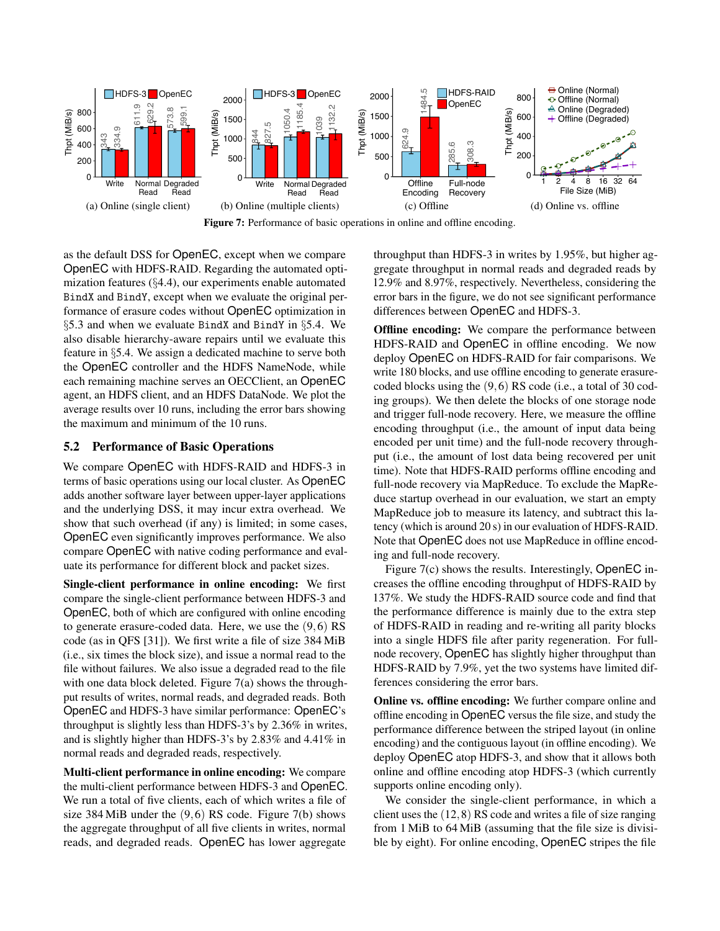<span id="page-8-1"></span>

Figure 7: Performance of basic operations in online and offline encoding.

as the default DSS for OpenEC, except when we compare OpenEC with HDFS-RAID. Regarding the automated optimization features (§[4.4\)](#page-6-0), our experiments enable automated BindX and BindY, except when we evaluate the original performance of erasure codes without OpenEC optimization in §[5.3](#page-9-0) and when we evaluate BindX and BindY in §[5.4.](#page-10-0) We also disable hierarchy-aware repairs until we evaluate this feature in §[5.4.](#page-10-0) We assign a dedicated machine to serve both the OpenEC controller and the HDFS NameNode, while each remaining machine serves an OECClient, an OpenEC agent, an HDFS client, and an HDFS DataNode. We plot the average results over 10 runs, including the error bars showing the maximum and minimum of the 10 runs.

## <span id="page-8-0"></span>5.2 Performance of Basic Operations

We compare OpenEC with HDFS-RAID and HDFS-3 in terms of basic operations using our local cluster. As OpenEC adds another software layer between upper-layer applications and the underlying DSS, it may incur extra overhead. We show that such overhead (if any) is limited; in some cases, OpenEC even significantly improves performance. We also compare OpenEC with native coding performance and evaluate its performance for different block and packet sizes.

Single-client performance in online encoding: We first compare the single-client performance between HDFS-3 and OpenEC, both of which are configured with online encoding to generate erasure-coded data. Here, we use the (9,6) RS code (as in QFS [\[31\]](#page-12-6)). We first write a file of size 384 MiB (i.e., six times the block size), and issue a normal read to the file without failures. We also issue a degraded read to the file with one data block deleted. Figure [7\(](#page-8-1)a) shows the throughput results of writes, normal reads, and degraded reads. Both OpenEC and HDFS-3 have similar performance: OpenEC's throughput is slightly less than HDFS-3's by 2.36% in writes, and is slightly higher than HDFS-3's by 2.83% and 4.41% in normal reads and degraded reads, respectively.

Multi-client performance in online encoding: We compare the multi-client performance between HDFS-3 and OpenEC. We run a total of five clients, each of which writes a file of size 384 MiB under the (9,6) RS code. Figure [7\(](#page-8-1)b) shows the aggregate throughput of all five clients in writes, normal reads, and degraded reads. OpenEC has lower aggregate

throughput than HDFS-3 in writes by 1.95%, but higher aggregate throughput in normal reads and degraded reads by 12.9% and 8.97%, respectively. Nevertheless, considering the error bars in the figure, we do not see significant performance differences between OpenEC and HDFS-3.

Offline encoding: We compare the performance between HDFS-RAID and OpenEC in offline encoding. We now deploy OpenEC on HDFS-RAID for fair comparisons. We write 180 blocks, and use offline encoding to generate erasurecoded blocks using the (9,6) RS code (i.e., a total of 30 coding groups). We then delete the blocks of one storage node and trigger full-node recovery. Here, we measure the offline encoding throughput (i.e., the amount of input data being encoded per unit time) and the full-node recovery throughput (i.e., the amount of lost data being recovered per unit time). Note that HDFS-RAID performs offline encoding and full-node recovery via MapReduce. To exclude the MapReduce startup overhead in our evaluation, we start an empty MapReduce job to measure its latency, and subtract this latency (which is around 20 s) in our evaluation of HDFS-RAID. Note that OpenEC does not use MapReduce in offline encoding and full-node recovery.

Figure [7\(](#page-8-1)c) shows the results. Interestingly, OpenEC increases the offline encoding throughput of HDFS-RAID by 137%. We study the HDFS-RAID source code and find that the performance difference is mainly due to the extra step of HDFS-RAID in reading and re-writing all parity blocks into a single HDFS file after parity regeneration. For fullnode recovery, OpenEC has slightly higher throughput than HDFS-RAID by 7.9%, yet the two systems have limited differences considering the error bars.

Online vs. offline encoding: We further compare online and offline encoding in OpenEC versus the file size, and study the performance difference between the striped layout (in online encoding) and the contiguous layout (in offline encoding). We deploy OpenEC atop HDFS-3, and show that it allows both online and offline encoding atop HDFS-3 (which currently supports online encoding only).

We consider the single-client performance, in which a client uses the (12,8) RS code and writes a file of size ranging from 1 MiB to 64 MiB (assuming that the file size is divisible by eight). For online encoding, OpenEC stripes the file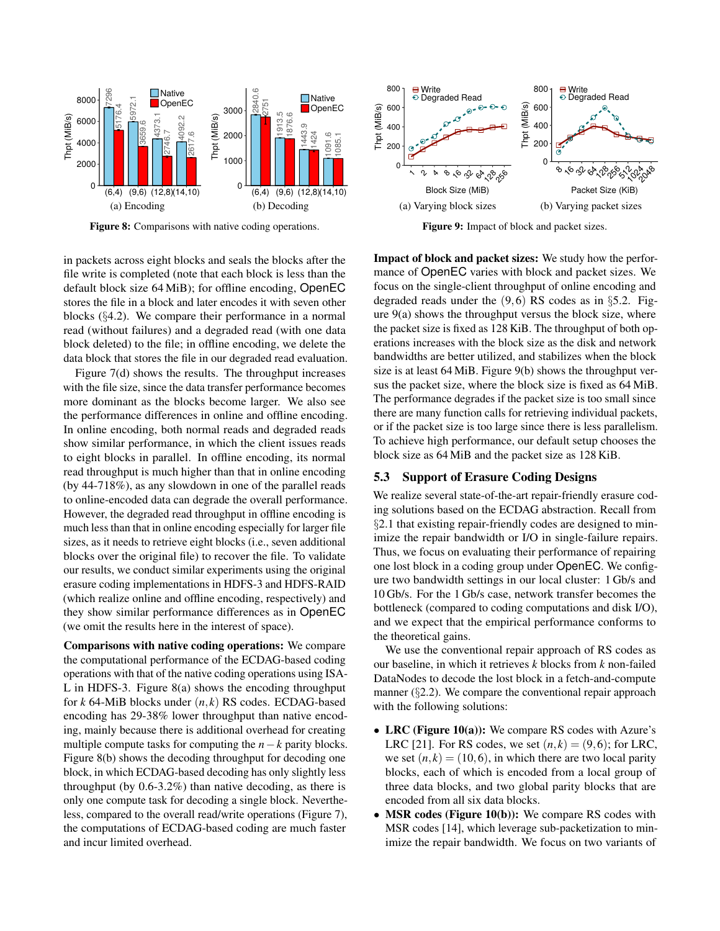<span id="page-9-1"></span>

Figure 8: Comparisons with native coding operations.

in packets across eight blocks and seals the blocks after the file write is completed (note that each block is less than the default block size 64 MiB); for offline encoding, OpenEC stores the file in a block and later encodes it with seven other blocks (§[4.2\)](#page-5-0). We compare their performance in a normal read (without failures) and a degraded read (with one data block deleted) to the file; in offline encoding, we delete the data block that stores the file in our degraded read evaluation.

Figure [7\(](#page-8-1)d) shows the results. The throughput increases with the file size, since the data transfer performance becomes more dominant as the blocks become larger. We also see the performance differences in online and offline encoding. In online encoding, both normal reads and degraded reads show similar performance, in which the client issues reads to eight blocks in parallel. In offline encoding, its normal read throughput is much higher than that in online encoding (by 44-718%), as any slowdown in one of the parallel reads to online-encoded data can degrade the overall performance. However, the degraded read throughput in offline encoding is much less than that in online encoding especially for larger file sizes, as it needs to retrieve eight blocks (i.e., seven additional blocks over the original file) to recover the file. To validate our results, we conduct similar experiments using the original erasure coding implementations in HDFS-3 and HDFS-RAID (which realize online and offline encoding, respectively) and they show similar performance differences as in OpenEC (we omit the results here in the interest of space).

Comparisons with native coding operations: We compare the computational performance of the ECDAG-based coding operations with that of the native coding operations using ISA-L in HDFS-3. Figure [8\(](#page-9-1)a) shows the encoding throughput for *k* 64-MiB blocks under (*n*, *k*) RS codes. ECDAG-based encoding has 29-38% lower throughput than native encoding, mainly because there is additional overhead for creating multiple compute tasks for computing the  $n-k$  parity blocks. Figure [8\(](#page-9-1)b) shows the decoding throughput for decoding one block, in which ECDAG-based decoding has only slightly less throughput (by 0.6-3.2%) than native decoding, as there is only one compute task for decoding a single block. Nevertheless, compared to the overall read/write operations (Figure [7\)](#page-8-1), the computations of ECDAG-based coding are much faster and incur limited overhead.

<span id="page-9-2"></span>

Figure 9: Impact of block and packet sizes.

Impact of block and packet sizes: We study how the performance of OpenEC varies with block and packet sizes. We focus on the single-client throughput of online encoding and degraded reads under the  $(9,6)$  RS codes as in §[5.2.](#page-8-0) Figure [9\(](#page-9-2)a) shows the throughput versus the block size, where the packet size is fixed as 128 KiB. The throughput of both operations increases with the block size as the disk and network bandwidths are better utilized, and stabilizes when the block size is at least 64 MiB. Figure [9\(](#page-9-2)b) shows the throughput versus the packet size, where the block size is fixed as 64 MiB. The performance degrades if the packet size is too small since there are many function calls for retrieving individual packets, or if the packet size is too large since there is less parallelism. To achieve high performance, our default setup chooses the block size as 64 MiB and the packet size as 128 KiB.

# <span id="page-9-0"></span>5.3 Support of Erasure Coding Designs

We realize several state-of-the-art repair-friendly erasure coding solutions based on the ECDAG abstraction. Recall from §[2.1](#page-1-1) that existing repair-friendly codes are designed to minimize the repair bandwidth or I/O in single-failure repairs. Thus, we focus on evaluating their performance of repairing one lost block in a coding group under OpenEC. We configure two bandwidth settings in our local cluster: 1 Gb/s and 10 Gb/s. For the 1 Gb/s case, network transfer becomes the bottleneck (compared to coding computations and disk I/O), and we expect that the empirical performance conforms to the theoretical gains.

We use the conventional repair approach of RS codes as our baseline, in which it retrieves *k* blocks from *k* non-failed DataNodes to decode the lost block in a fetch-and-compute manner (§[2.2\)](#page-1-0). We compare the conventional repair approach with the following solutions:

- LRC (Figure [10\(](#page-10-2)a)): We compare RS codes with Azure's LRC [\[21\]](#page-12-1). For RS codes, we set  $(n, k) = (9, 6)$ ; for LRC, we set  $(n, k) = (10, 6)$ , in which there are two local parity blocks, each of which is encoded from a local group of three data blocks, and two global parity blocks that are encoded from all six data blocks.
- MSR codes (Figure [10\(](#page-10-2)b)): We compare RS codes with MSR codes [\[14\]](#page-12-9), which leverage sub-packetization to minimize the repair bandwidth. We focus on two variants of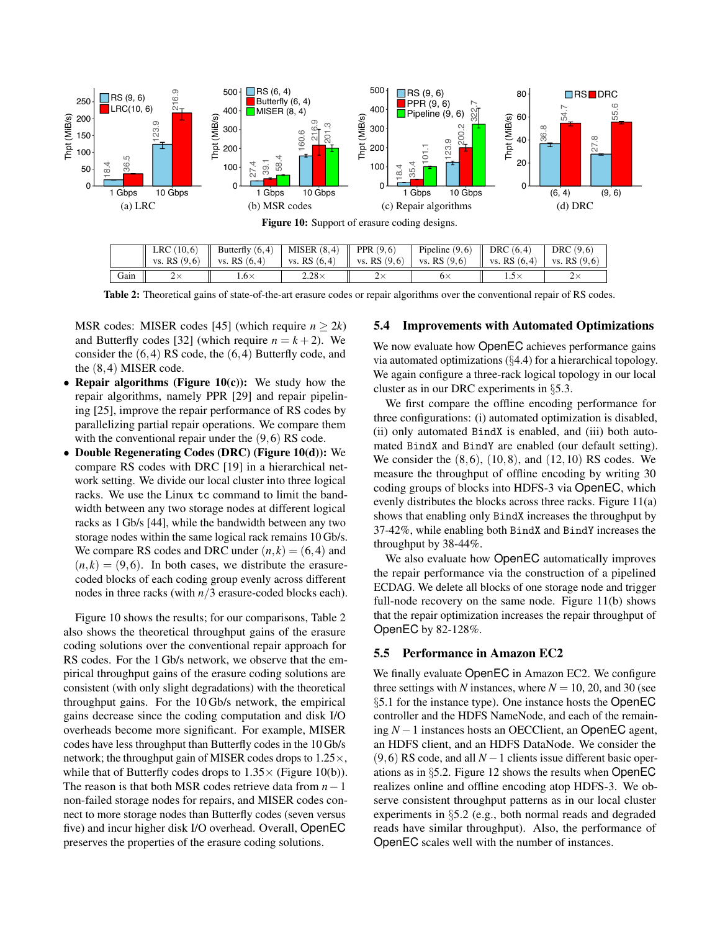<span id="page-10-2"></span>

<span id="page-10-3"></span>

|      | $LNC(10,0)$    DUILCHIV $(0,4)$   NH3EN $(0,4)$    FFN $(2,0)$<br>vs. RS $(9,6)$   vs. RS $(6,4)$   vs. RS $(6,4)$   vs. RS $(9,6)$   vs. RS $(9,6)$   vs. RS $(6,4)$   vs. RS $(9,6)$ |              | FIDELING (9,0)    DRC (0,4)   DRC (9,0) |  |
|------|----------------------------------------------------------------------------------------------------------------------------------------------------------------------------------------|--------------|-----------------------------------------|--|
| Gain | 1.6×                                                                                                                                                                                   | $2.28\times$ | $6\times$                               |  |

Table 2: Theoretical gains of state-of-the-art erasure codes or repair algorithms over the conventional repair of RS codes.

MSR codes: MISER codes [\[45\]](#page-13-12) (which require  $n > 2k$ ) and Butterfly codes [\[32\]](#page-13-9) (which require  $n = k + 2$ ). We consider the (6,4) RS code, the (6,4) Butterfly code, and the (8,4) MISER code.

- Repair algorithms (Figure [10\(](#page-10-2)c)): We study how the repair algorithms, namely PPR [\[29\]](#page-12-15) and repair pipelining [\[25\]](#page-12-14), improve the repair performance of RS codes by parallelizing partial repair operations. We compare them with the conventional repair under the  $(9,6)$  RS code.
- Double Regenerating Codes (DRC) (Figure [10\(](#page-10-2)d)): We compare RS codes with DRC [\[19\]](#page-12-13) in a hierarchical network setting. We divide our local cluster into three logical racks. We use the Linux tc command to limit the bandwidth between any two storage nodes at different logical racks as 1 Gb/s [\[44\]](#page-13-7), while the bandwidth between any two storage nodes within the same logical rack remains 10 Gb/s. We compare RS codes and DRC under  $(n, k) = (6, 4)$  and  $(n, k) = (9, 6)$ . In both cases, we distribute the erasurecoded blocks of each coding group evenly across different nodes in three racks (with *n*/3 erasure-coded blocks each).

Figure [10](#page-10-2) shows the results; for our comparisons, Table [2](#page-10-3) also shows the theoretical throughput gains of the erasure coding solutions over the conventional repair approach for RS codes. For the 1 Gb/s network, we observe that the empirical throughput gains of the erasure coding solutions are consistent (with only slight degradations) with the theoretical throughput gains. For the 10 Gb/s network, the empirical gains decrease since the coding computation and disk I/O overheads become more significant. For example, MISER codes have less throughput than Butterfly codes in the 10 Gb/s network; the throughput gain of MISER codes drops to 1.25×, while that of Butterfly codes drops to  $1.35 \times$  (Figure [10\(](#page-10-2)b)). The reason is that both MSR codes retrieve data from *n*−1 non-failed storage nodes for repairs, and MISER codes connect to more storage nodes than Butterfly codes (seven versus five) and incur higher disk I/O overhead. Overall, OpenEC preserves the properties of the erasure coding solutions.

#### <span id="page-10-0"></span>5.4 Improvements with Automated Optimizations

We now evaluate how OpenEC achieves performance gains via automated optimizations (§[4.4\)](#page-6-0) for a hierarchical topology. We again configure a three-rack logical topology in our local cluster as in our DRC experiments in §[5.3.](#page-9-0)

We first compare the offline encoding performance for three configurations: (i) automated optimization is disabled, (ii) only automated BindX is enabled, and (iii) both automated BindX and BindY are enabled (our default setting). We consider the  $(8,6)$ ,  $(10,8)$ , and  $(12,10)$  RS codes. We measure the throughput of offline encoding by writing 30 coding groups of blocks into HDFS-3 via OpenEC, which evenly distributes the blocks across three racks. Figure [11\(](#page-11-1)a) shows that enabling only BindX increases the throughput by 37-42%, while enabling both BindX and BindY increases the throughput by 38-44%.

We also evaluate how OpenEC automatically improves the repair performance via the construction of a pipelined ECDAG. We delete all blocks of one storage node and trigger full-node recovery on the same node. Figure [11\(](#page-11-1)b) shows that the repair optimization increases the repair throughput of OpenEC by 82-128%.

## <span id="page-10-1"></span>5.5 Performance in Amazon EC2

We finally evaluate OpenEC in Amazon EC2. We configure three settings with *N* instances, where  $N = 10, 20,$  and 30 (see §[5.1](#page-7-5) for the instance type). One instance hosts the OpenEC controller and the HDFS NameNode, and each of the remaining *N* −1 instances hosts an OECClient, an OpenEC agent, an HDFS client, and an HDFS DataNode. We consider the (9,6) RS code, and all  $N-1$  clients issue different basic operations as in §[5.2.](#page-8-0) Figure [12](#page-11-2) shows the results when OpenEC realizes online and offline encoding atop HDFS-3. We observe consistent throughput patterns as in our local cluster experiments in §[5.2](#page-8-0) (e.g., both normal reads and degraded reads have similar throughput). Also, the performance of OpenEC scales well with the number of instances.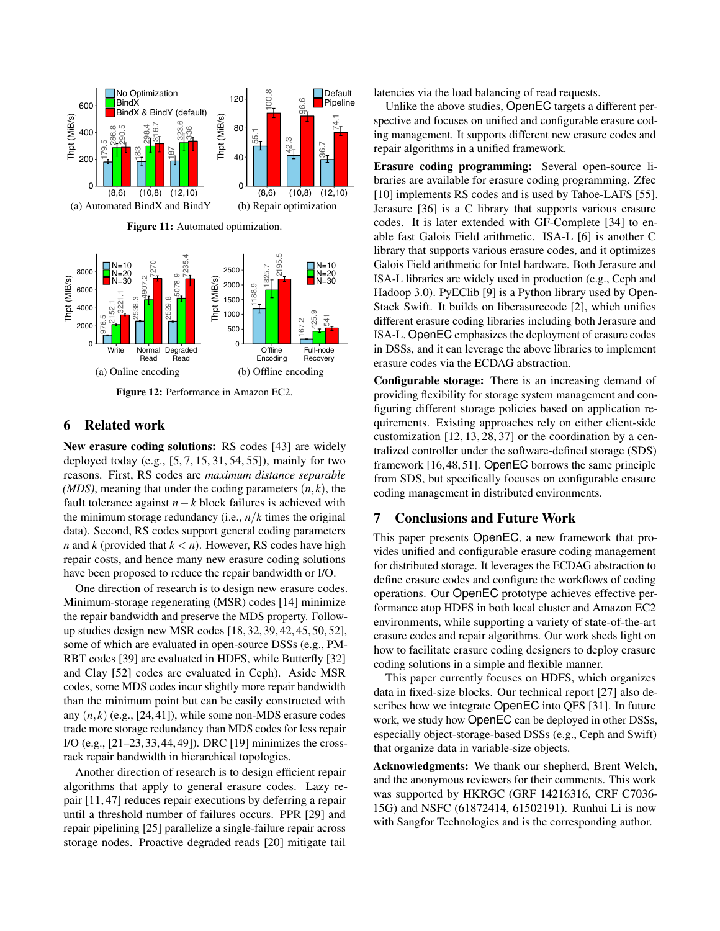<span id="page-11-1"></span>

<span id="page-11-2"></span>Figure 12: Performance in Amazon EC2.

## <span id="page-11-0"></span>6 Related work

New erasure coding solutions: RS codes [\[43\]](#page-13-3) are widely deployed today (e.g., [\[5,](#page-12-7) [7,](#page-12-5) [15,](#page-12-0) [31,](#page-12-6) [54,](#page-13-0) [55\]](#page-13-1)), mainly for two reasons. First, RS codes are *maximum distance separable (MDS)*, meaning that under the coding parameters  $(n, k)$ , the fault tolerance against *n*−*k* block failures is achieved with the minimum storage redundancy (i.e.,  $n/k$  times the original data). Second, RS codes support general coding parameters *n* and *k* (provided that  $k < n$ ). However, RS codes have high repair costs, and hence many new erasure coding solutions have been proposed to reduce the repair bandwidth or I/O.

One direction of research is to design new erasure codes. Minimum-storage regenerating (MSR) codes [\[14\]](#page-12-9) minimize the repair bandwidth and preserve the MDS property. Followup studies design new MSR codes [\[18,](#page-12-12) [32,](#page-13-9) [39,](#page-13-10) [42,](#page-13-11) [45,](#page-13-12) [50,](#page-13-13) [52\]](#page-13-14), some of which are evaluated in open-source DSSs (e.g., PM-RBT codes [\[39\]](#page-13-10) are evaluated in HDFS, while Butterfly [\[32\]](#page-13-9) and Clay [\[52\]](#page-13-14) codes are evaluated in Ceph). Aside MSR codes, some MDS codes incur slightly more repair bandwidth than the minimum point but can be easily constructed with any  $(n, k)$  (e.g., [\[24,](#page-12-21)[41\]](#page-13-18)), while some non-MDS erasure codes trade more storage redundancy than MDS codes for less repair I/O (e.g., [\[21](#page-12-1)[–23,](#page-12-10) [33,](#page-13-19) [44,](#page-13-7) [49\]](#page-13-8)). DRC [\[19\]](#page-12-13) minimizes the crossrack repair bandwidth in hierarchical topologies.

Another direction of research is to design efficient repair algorithms that apply to general erasure codes. Lazy repair [\[11,](#page-12-22) [47\]](#page-13-20) reduces repair executions by deferring a repair until a threshold number of failures occurs. PPR [\[29\]](#page-12-15) and repair pipelining [\[25\]](#page-12-14) parallelize a single-failure repair across storage nodes. Proactive degraded reads [\[20\]](#page-12-23) mitigate tail

latencies via the load balancing of read requests.

Unlike the above studies, OpenEC targets a different perspective and focuses on unified and configurable erasure coding management. It supports different new erasure codes and repair algorithms in a unified framework.

Erasure coding programming: Several open-source libraries are available for erasure coding programming. Zfec [\[10\]](#page-12-24) implements RS codes and is used by Tahoe-LAFS [\[55\]](#page-13-1). Jerasure [\[36\]](#page-13-21) is a C library that supports various erasure codes. It is later extended with GF-Complete [\[34\]](#page-13-22) to enable fast Galois Field arithmetic. ISA-L [\[6\]](#page-12-17) is another C library that supports various erasure codes, and it optimizes Galois Field arithmetic for Intel hardware. Both Jerasure and ISA-L libraries are widely used in production (e.g., Ceph and Hadoop 3.0). PyEClib [\[9\]](#page-12-25) is a Python library used by Open-Stack Swift. It builds on liberasurecode [\[2\]](#page-12-26), which unifies different erasure coding libraries including both Jerasure and ISA-L. OpenEC emphasizes the deployment of erasure codes in DSSs, and it can leverage the above libraries to implement erasure codes via the ECDAG abstraction.

Configurable storage: There is an increasing demand of providing flexibility for storage system management and configuring different storage policies based on application requirements. Existing approaches rely on either client-side customization [\[12,](#page-12-27) [13,](#page-12-28) [28,](#page-12-29) [37\]](#page-13-23) or the coordination by a centralized controller under the software-defined storage (SDS) framework [\[16,](#page-12-8) [48,](#page-13-4) [51\]](#page-13-5). OpenEC borrows the same principle from SDS, but specifically focuses on configurable erasure coding management in distributed environments.

#### 7 Conclusions and Future Work

This paper presents OpenEC, a new framework that provides unified and configurable erasure coding management for distributed storage. It leverages the ECDAG abstraction to define erasure codes and configure the workflows of coding operations. Our OpenEC prototype achieves effective performance atop HDFS in both local cluster and Amazon EC2 environments, while supporting a variety of state-of-the-art erasure codes and repair algorithms. Our work sheds light on how to facilitate erasure coding designers to deploy erasure coding solutions in a simple and flexible manner.

This paper currently focuses on HDFS, which organizes data in fixed-size blocks. Our technical report [\[27\]](#page-12-16) also describes how we integrate OpenEC into QFS [\[31\]](#page-12-6). In future work, we study how OpenEC can be deployed in other DSSs, especially object-storage-based DSSs (e.g., Ceph and Swift) that organize data in variable-size objects.

Acknowledgments: We thank our shepherd, Brent Welch, and the anonymous reviewers for their comments. This work was supported by HKRGC (GRF 14216316, CRF C7036- 15G) and NSFC (61872414, 61502191). Runhui Li is now with Sangfor Technologies and is the corresponding author.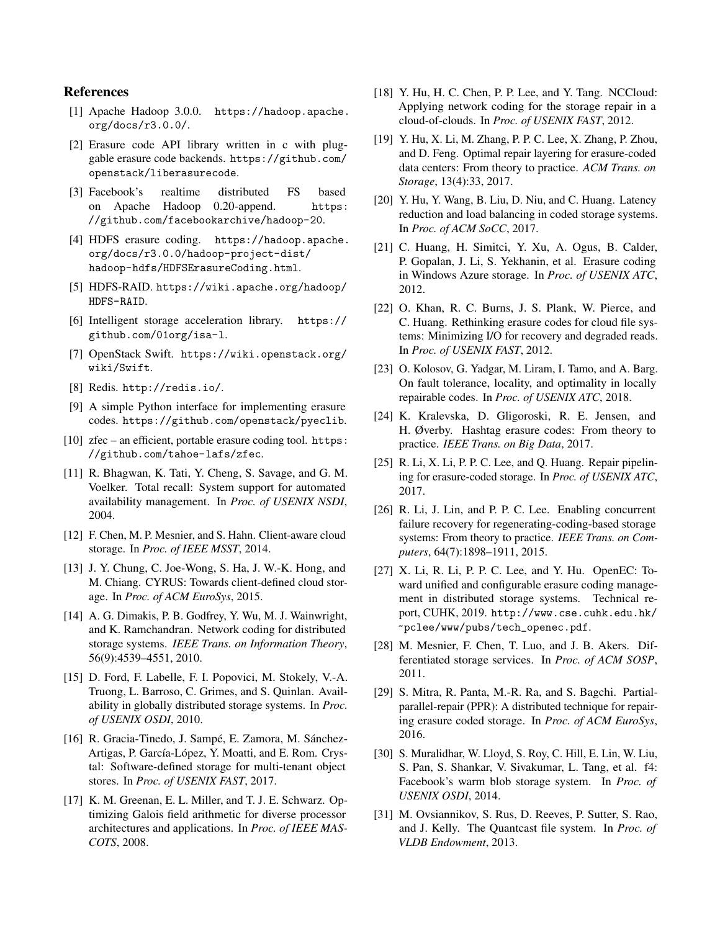## References

- <span id="page-12-3"></span>[1] Apache Hadoop 3.0.0. [https://hadoop.apache.](https://hadoop.apache.org/docs/r3.0.0/) [org/docs/r3.0.0/](https://hadoop.apache.org/docs/r3.0.0/).
- <span id="page-12-26"></span>[2] Erasure code API library written in c with pluggable erasure code backends. [https://github.com/](https://github.com/openstack/liberasurecode) [openstack/liberasurecode](https://github.com/openstack/liberasurecode).
- <span id="page-12-4"></span>[3] Facebook's realtime distributed FS based on Apache Hadoop 0.20-append. [https:](https://github.com/facebookarchive/hadoop-20) [//github.com/facebookarchive/hadoop-20](https://github.com/facebookarchive/hadoop-20).
- <span id="page-12-18"></span>[4] HDFS erasure coding. [https://hadoop.apache.](https://hadoop.apache.org/docs/r3.0.0/hadoop-project-dist/hadoop-hdfs/HDFSErasureCoding.html) [org/docs/r3.0.0/hadoop-project-dist/](https://hadoop.apache.org/docs/r3.0.0/hadoop-project-dist/hadoop-hdfs/HDFSErasureCoding.html) [hadoop-hdfs/HDFSErasureCoding.html](https://hadoop.apache.org/docs/r3.0.0/hadoop-project-dist/hadoop-hdfs/HDFSErasureCoding.html).
- <span id="page-12-7"></span>[5] HDFS-RAID. [https://wiki.apache.org/hadoop/](https://wiki.apache.org/hadoop/HDFS-RAID) [HDFS-RAID](https://wiki.apache.org/hadoop/HDFS-RAID).
- <span id="page-12-17"></span>[6] Intelligent storage acceleration library. [https://](https://github.com/01org/isa-l) [github.com/01org/isa-l](https://github.com/01org/isa-l).
- <span id="page-12-5"></span>[7] OpenStack Swift. [https://wiki.openstack.org/](https://wiki.openstack.org/wiki/Swift) [wiki/Swift](https://wiki.openstack.org/wiki/Swift).
- <span id="page-12-19"></span>[8] Redis. <http://redis.io/>.
- <span id="page-12-25"></span>[9] A simple Python interface for implementing erasure codes. <https://github.com/openstack/pyeclib>.
- <span id="page-12-24"></span>[10] zfec – an efficient, portable erasure coding tool. [https:](https://github.com/tahoe-lafs/zfec) [//github.com/tahoe-lafs/zfec](https://github.com/tahoe-lafs/zfec).
- <span id="page-12-22"></span>[11] R. Bhagwan, K. Tati, Y. Cheng, S. Savage, and G. M. Voelker. Total recall: System support for automated availability management. In *Proc. of USENIX NSDI*, 2004.
- <span id="page-12-27"></span>[12] F. Chen, M. P. Mesnier, and S. Hahn. Client-aware cloud storage. In *Proc. of IEEE MSST*, 2014.
- <span id="page-12-28"></span>[13] J. Y. Chung, C. Joe-Wong, S. Ha, J. W.-K. Hong, and M. Chiang. CYRUS: Towards client-defined cloud storage. In *Proc. of ACM EuroSys*, 2015.
- <span id="page-12-9"></span>[14] A. G. Dimakis, P. B. Godfrey, Y. Wu, M. J. Wainwright, and K. Ramchandran. Network coding for distributed storage systems. *IEEE Trans. on Information Theory*, 56(9):4539–4551, 2010.
- <span id="page-12-0"></span>[15] D. Ford, F. Labelle, F. I. Popovici, M. Stokely, V.-A. Truong, L. Barroso, C. Grimes, and S. Quinlan. Availability in globally distributed storage systems. In *Proc. of USENIX OSDI*, 2010.
- <span id="page-12-8"></span>[16] R. Gracia-Tinedo, J. Sampé, E. Zamora, M. Sánchez-Artigas, P. García-López, Y. Moatti, and E. Rom. Crystal: Software-defined storage for multi-tenant object stores. In *Proc. of USENIX FAST*, 2017.
- <span id="page-12-11"></span>[17] K. M. Greenan, E. L. Miller, and T. J. E. Schwarz. Optimizing Galois field arithmetic for diverse processor architectures and applications. In *Proc. of IEEE MAS-COTS*, 2008.
- <span id="page-12-12"></span>[18] Y. Hu, H. C. Chen, P. P. Lee, and Y. Tang. NCCloud: Applying network coding for the storage repair in a cloud-of-clouds. In *Proc. of USENIX FAST*, 2012.
- <span id="page-12-13"></span>[19] Y. Hu, X. Li, M. Zhang, P. P. C. Lee, X. Zhang, P. Zhou, and D. Feng. Optimal repair layering for erasure-coded data centers: From theory to practice. *ACM Trans. on Storage*, 13(4):33, 2017.
- <span id="page-12-23"></span>[20] Y. Hu, Y. Wang, B. Liu, D. Niu, and C. Huang. Latency reduction and load balancing in coded storage systems. In *Proc. of ACM SoCC*, 2017.
- <span id="page-12-1"></span>[21] C. Huang, H. Simitci, Y. Xu, A. Ogus, B. Calder, P. Gopalan, J. Li, S. Yekhanin, et al. Erasure coding in Windows Azure storage. In *Proc. of USENIX ATC*, 2012.
- [22] O. Khan, R. C. Burns, J. S. Plank, W. Pierce, and C. Huang. Rethinking erasure codes for cloud file systems: Minimizing I/O for recovery and degraded reads. In *Proc. of USENIX FAST*, 2012.
- <span id="page-12-10"></span>[23] O. Kolosov, G. Yadgar, M. Liram, I. Tamo, and A. Barg. On fault tolerance, locality, and optimality in locally repairable codes. In *Proc. of USENIX ATC*, 2018.
- <span id="page-12-21"></span>[24] K. Kralevska, D. Gligoroski, R. E. Jensen, and H. Øverby. Hashtag erasure codes: From theory to practice. *IEEE Trans. on Big Data*, 2017.
- <span id="page-12-14"></span>[25] R. Li, X. Li, P. P. C. Lee, and O. Huang. Repair pipelining for erasure-coded storage. In *Proc. of USENIX ATC*, 2017.
- <span id="page-12-20"></span>[26] R. Li, J. Lin, and P. P. C. Lee. Enabling concurrent failure recovery for regenerating-coding-based storage systems: From theory to practice. *IEEE Trans. on Computers*, 64(7):1898–1911, 2015.
- <span id="page-12-16"></span>[27] X. Li, R. Li, P. P. C. Lee, and Y. Hu. OpenEC: Toward unified and configurable erasure coding management in distributed storage systems. Technical report, CUHK, 2019. [http://www.cse.cuhk.edu.hk/](http://www.cse.cuhk.edu.hk/~pclee/www/pubs/tech_openec.pdf) [~pclee/www/pubs/tech\\_openec.pdf](http://www.cse.cuhk.edu.hk/~pclee/www/pubs/tech_openec.pdf).
- <span id="page-12-29"></span>[28] M. Mesnier, F. Chen, T. Luo, and J. B. Akers. Differentiated storage services. In *Proc. of ACM SOSP*, 2011.
- <span id="page-12-15"></span>[29] S. Mitra, R. Panta, M.-R. Ra, and S. Bagchi. Partialparallel-repair (PPR): A distributed technique for repairing erasure coded storage. In *Proc. of ACM EuroSys*, 2016.
- <span id="page-12-2"></span>[30] S. Muralidhar, W. Lloyd, S. Roy, C. Hill, E. Lin, W. Liu, S. Pan, S. Shankar, V. Sivakumar, L. Tang, et al. f4: Facebook's warm blob storage system. In *Proc. of USENIX OSDI*, 2014.
- <span id="page-12-6"></span>[31] M. Ovsiannikov, S. Rus, D. Reeves, P. Sutter, S. Rao, and J. Kelly. The Quantcast file system. In *Proc. of VLDB Endowment*, 2013.